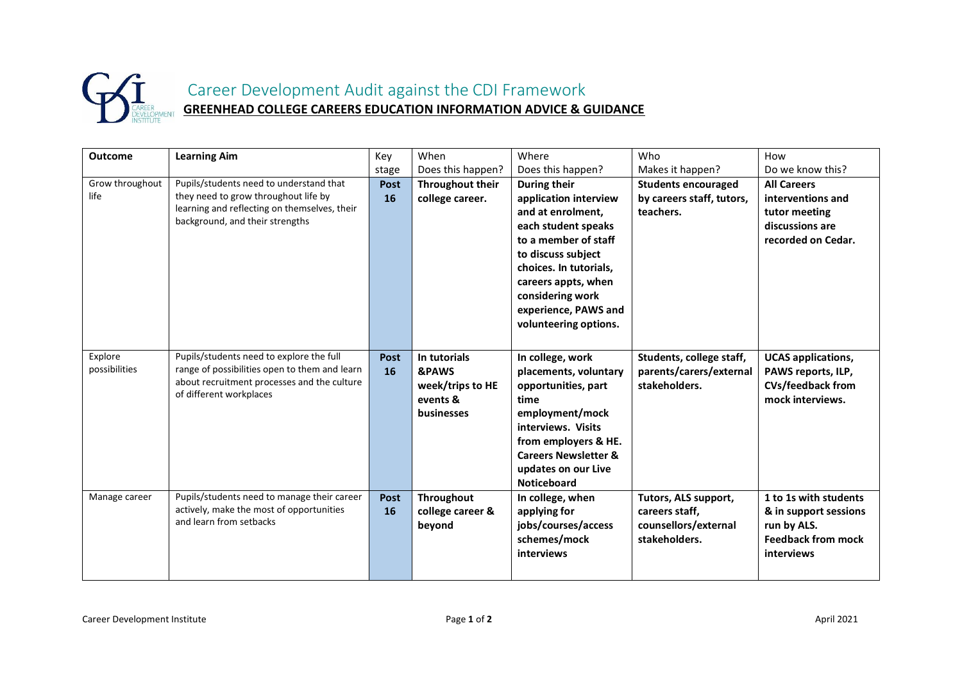

Career Development Audit against the CDI Framework **GREENHEAD COLLEGE CAREERS EDUCATION INFORMATION ADVICE & GUIDANCE**

| <b>Outcome</b>           | <b>Learning Aim</b>                                                                                                                                                 | Key                      | When                                                                           | Where                                                                                                                                                                                                                                                 | Who                                                                             | How                                                                                                      |
|--------------------------|---------------------------------------------------------------------------------------------------------------------------------------------------------------------|--------------------------|--------------------------------------------------------------------------------|-------------------------------------------------------------------------------------------------------------------------------------------------------------------------------------------------------------------------------------------------------|---------------------------------------------------------------------------------|----------------------------------------------------------------------------------------------------------|
|                          |                                                                                                                                                                     | stage                    | Does this happen?                                                              | Does this happen?                                                                                                                                                                                                                                     | Makes it happen?                                                                | Do we know this?                                                                                         |
| Grow throughout<br>life  | Pupils/students need to understand that<br>they need to grow throughout life by<br>learning and reflecting on themselves, their<br>background, and their strengths  | Post<br><b>16</b>        | <b>Throughout their</b><br>college career.                                     | During their<br>application interview<br>and at enrolment,<br>each student speaks<br>to a member of staff<br>to discuss subject<br>choices. In tutorials,<br>careers appts, when<br>considering work<br>experience, PAWS and<br>volunteering options. | <b>Students encouraged</b><br>by careers staff, tutors,<br>teachers.            | <b>All Careers</b><br>interventions and<br>tutor meeting<br>discussions are<br>recorded on Cedar.        |
| Explore<br>possibilities | Pupils/students need to explore the full<br>range of possibilities open to them and learn<br>about recruitment processes and the culture<br>of different workplaces | <b>Post</b><br>16        | In tutorials<br><b>&amp;PAWS</b><br>week/trips to HE<br>events &<br>businesses | In college, work<br>placements, voluntary<br>opportunities, part<br>time<br>employment/mock<br>interviews. Visits<br>from employers & HE.<br><b>Careers Newsletter &amp;</b><br>updates on our Live<br><b>Noticeboard</b>                             | Students, college staff,<br>parents/carers/external<br>stakeholders.            | <b>UCAS</b> applications,<br>PAWS reports, ILP,<br><b>CVs/feedback from</b><br>mock interviews.          |
| Manage career            | Pupils/students need to manage their career<br>actively, make the most of opportunities<br>and learn from setbacks                                                  | <b>Post</b><br><b>16</b> | Throughout<br>college career &<br>beyond                                       | In college, when<br>applying for<br>jobs/courses/access<br>schemes/mock<br><b>interviews</b>                                                                                                                                                          | Tutors, ALS support,<br>careers staff,<br>counsellors/external<br>stakeholders. | 1 to 1s with students<br>& in support sessions<br>run by ALS.<br><b>Feedback from mock</b><br>interviews |